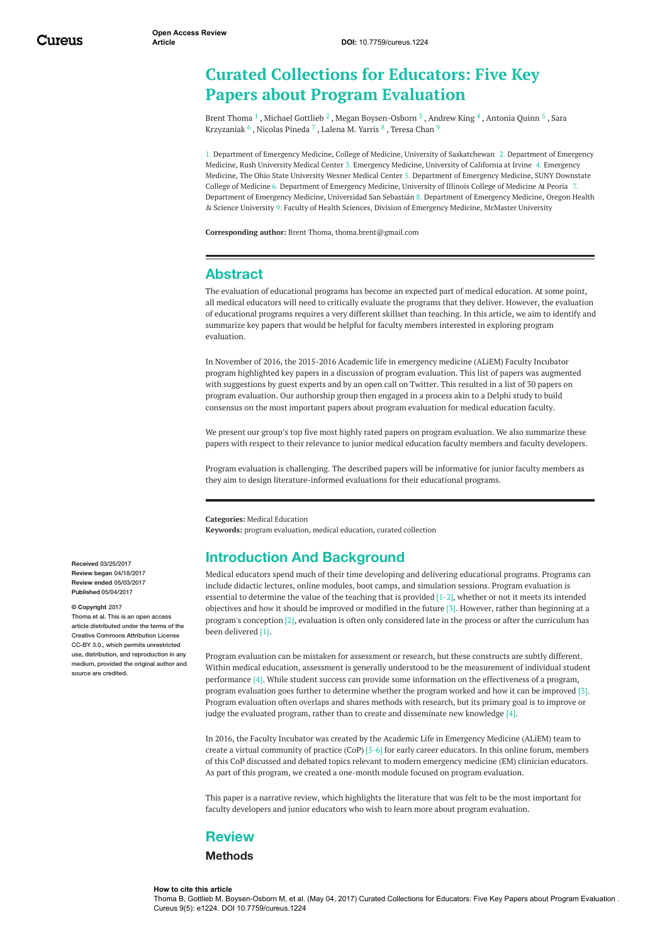# **Curated Collections for Educators: Five Key Papers about Program Evaluation**

Brent [Thoma](https://www.cureus.com/users/26093-brent-thoma)  $^1$  , Michael [Gottlieb](https://www.cureus.com/users/35471-michael-gottlieb)  $^2$  , Megan [Boysen-Osborn](https://www.cureus.com/users/37174-megan-boysen-osborn)  $^3$  , [Andrew](https://www.cureus.com/users/28040-andrew-king) King  $^4$  , [Antonia](https://www.cureus.com/users/38270-antonia-quinn) Quinn  $^5$  , Sara Krzyzaniak  $^6$  , [Nicolas](https://www.cureus.com/users/38272-nicolas-pineda) Pineda  $^7$  , [Lalena](https://www.cureus.com/users/38273-lalena-m-yarris) M. Yarris  $^8$  , [Teresa](https://www.cureus.com/users/23655-teresa-m-chan) Chan  $^9$ 

1. Department of Emergency Medicine, College of Medicine, University of Saskatchewan 2. Department of Emergency Medicine, Rush University Medical Center 3. Emergency Medicine, University of California at Irvine 4. Emergency Medicine, The Ohio State University Wexner Medical Center 5. Department of Emergency Medicine, SUNY Downstate College of Medicine 6. Department of Emergency Medicine, University of Illinois College of Medicine At Peoria 7. Department of Emergency Medicine, Universidad San Sebastián 8. Department of Emergency Medicine, Oregon Health & Science University 9. Faculty of Health Sciences, Division of Emergency Medicine, McMaster University

**Corresponding author:** Brent Thoma, thoma.brent@gmail.com

## **Abstract**

The evaluation of educational programs has become an expected part of medical education. At some point, all medical educators will need to critically evaluate the programs that they deliver. However, the evaluation of educational programs requires a very different skillset than teaching. In this article, we aim to identify and summarize key papers that would be helpful for faculty members interested in exploring program evaluation.

In November of 2016, the 2015-2016 Academic life in emergency medicine (ALiEM) Faculty Incubator program highlighted key papers in a discussion of program evaluation. This list of papers was augmented with suggestions by guest experts and by an open call on Twitter. This resulted in a list of 30 papers on program evaluation. Our authorship group then engaged in a process akin to a Delphi study to build consensus on the most important papers about program evaluation for medical education faculty.

We present our group's top five most highly rated papers on program evaluation. We also summarize these papers with respect to their relevance to junior medical education faculty members and faculty developers.

Program evaluation is challenging. The described papers will be informative for junior faculty members as they aim to design literature-informed evaluations for their educational programs.

**Categories:** Medical Education **Keywords:** program evaluation, medical education, curated collection

# **Introduction And Background**

Medical educators spend much of their time developing and delivering educational programs. Programs can include didactic lectures, online modules, boot camps, and simulation sessions. Program evaluation is essential to determine the value of the teaching that is provided [1-2], whether or not it meets its intended objectives and how it should be improved or modified in the future [3]. However, rather than beginning at a program's conception  $[2]$ , evaluation is often only considered late in the process or after the curriculum has been delivered [1].

Program evaluation can be mistaken for assessment or research, but these constructs are subtly different. Within medical education, assessment is generally understood to be the measurement of individual student performance [4]. While student success can provide some information on the effectiveness of a program, program evaluation goes further to determine whether the program worked and how it can be improved [3]. Program evaluation often overlaps and shares methods with research, but its primary goal is to improve or judge the evaluated program, rather than to create and disseminate new knowledge [4].

In 2016, the Faculty Incubator was created by the Academic Life in Emergency Medicine (ALiEM) team to create a virtual community of practice (CoP) [5-6] for early career educators. In this online forum, members of this CoP discussed and debated topics relevant to modern emergency medicine (EM) clinician educators. As part of this program, we created a one-month module focused on program evaluation.

This paper is a narrative review, which highlights the literature that was felt to be the most important for faculty developers and junior educators who wish to learn more about program evaluation.

## **Review**

### **Methods**

#### **How to cite this article**

Thoma B, Gottlieb M, Boysen-Osborn M, et al. (May 04, 2017) Curated Collections for Educators: Five Key Papers about Program Evaluation . Cureus 9(5): e1224. DOI 10.7759/cureus.1224

**Received** 03/25/2017 **Review began** 04/18/2017 **Review ended** 05/03/2017 **Published** 05/04/2017

#### **© Copyright** 2017

Thoma et al. This is an open access article distributed under the terms of the Creative Commons Attribution License CC-BY 3.0., which permits unrestricted use, distribution, and reproduction in any medium, provided the original author and source are credited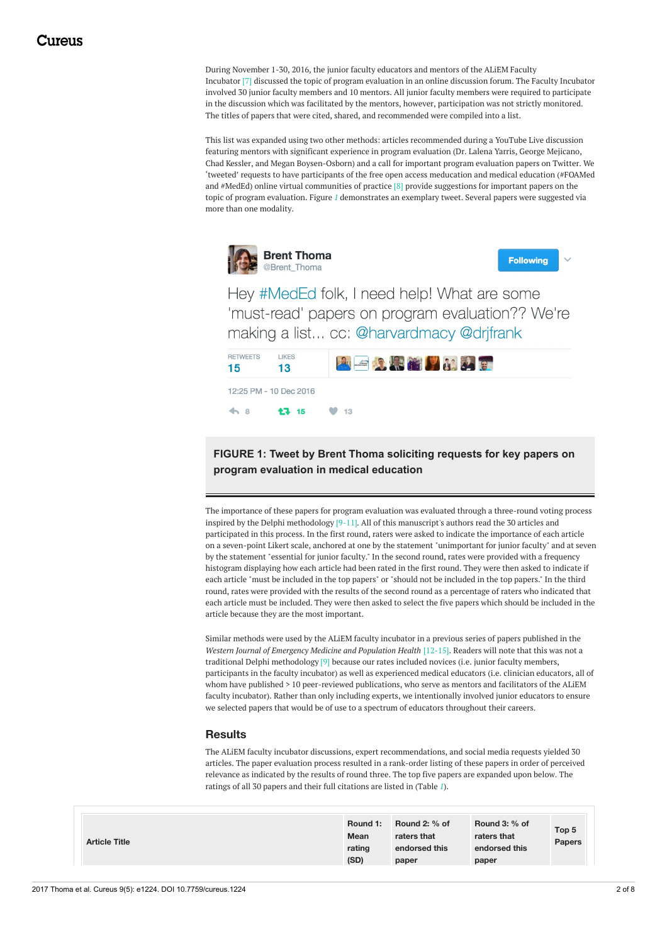During November 1-30, 2016, the junior faculty educators and mentors of the ALiEM Faculty Incubator [7] discussed the topic of program evaluation in an online discussion forum. The Faculty Incubator involved 30 junior faculty members and 10 mentors. All junior faculty members were required to participate in the discussion which was facilitated by the mentors, however, participation was not strictly monitored. The titles of papers that were cited, shared, and recommended were compiled into a list.

This list was expanded using two other methods: articles recommended during a YouTube Live discussion featuring mentors with significant experience in program evaluation (Dr. Lalena Yarris, George Mejicano, Chad Kessler, and Megan Boysen-Osborn) and a call for important program evaluation papers on Twitter. We 'tweeted' requests to have participants of the free open access meducation and medical education (#FOAMed and #MedEd) online virtual communities of practice [8] provide suggestions for important papers on the topic of program evaluation. Figure *[1](#page-1-0)* demonstrates an exemplary tweet. Several papers were suggested via more than one modality.

<span id="page-1-0"></span>

**Following** 

Hey #MedEd folk, I need help! What are some 'must-read' papers on program evaluation?? We're making a list... cc: @harvardmacy @drifrank

| <b>RETWEETS</b><br>15 | <b>LIKES</b><br>13                    | <b>ALE 3 R M M M M 2 R</b> |
|-----------------------|---------------------------------------|----------------------------|
|                       | 12:25 PM - 10 Dec 2016                |                            |
|                       | $\bullet$ 8 $\bullet$ 15 $\bullet$ 13 |                            |

**FIGURE 1: Tweet by Brent Thoma soliciting requests for key papers on program evaluation in medical education**

The importance of these papers for program evaluation was evaluated through a three-round voting process inspired by the Delphi methodology [9-11]. All of this manuscript's authors read the 30 articles and participated in this process. In the first round, raters were asked to indicate the importance of each article on a seven-point Likert scale, anchored at one by the statement "unimportant for junior faculty" and at seven by the statement "essential for junior faculty." In the second round, rates were provided with a frequency histogram displaying how each article had been rated in the first round. They were then asked to indicate if each article "must be included in the top papers" or "should not be included in the top papers." In the third round, rates were provided with the results of the second round as a percentage of raters who indicated that each article must be included. They were then asked to select the five papers which should be included in the article because they are the most important.

Similar methods were used by the ALiEM faculty incubator in a previous series of papers published in the *Western Journal of Emergency Medicine and Population Health* [12-15]. Readers will note that this was not a traditional Delphi methodology [9] because our rates included novices (i.e. junior faculty members, participants in the faculty incubator) as well as experienced medical educators (i.e. clinician educators, all of whom have published > 10 peer-reviewed publications, who serve as mentors and facilitators of the ALiEM faculty incubator). Rather than only including experts, we intentionally involved junior educators to ensure we selected papers that would be of use to a spectrum of educators throughout their careers.

### **Results**

The ALiEM faculty incubator discussions, expert recommendations, and social media requests yielded 30 articles. The paper evaluation process resulted in a rank-order listing of these papers in order of perceived relevance as indicated by the results of round three. The top five papers are expanded upon below. The ratings of all 30 papers and their full citations are listed in (Table *[1](#page-2-0)*).

| Round 3: % of<br>Round 2: % of<br>Round 1:<br>Top 5<br>Mean<br>raters that<br>raters that<br><b>Article Title</b><br><b>Papers</b><br>endorsed this<br>rating<br>endorsed this<br>(SD)<br>paper<br>paper |  |
|----------------------------------------------------------------------------------------------------------------------------------------------------------------------------------------------------------|--|
|----------------------------------------------------------------------------------------------------------------------------------------------------------------------------------------------------------|--|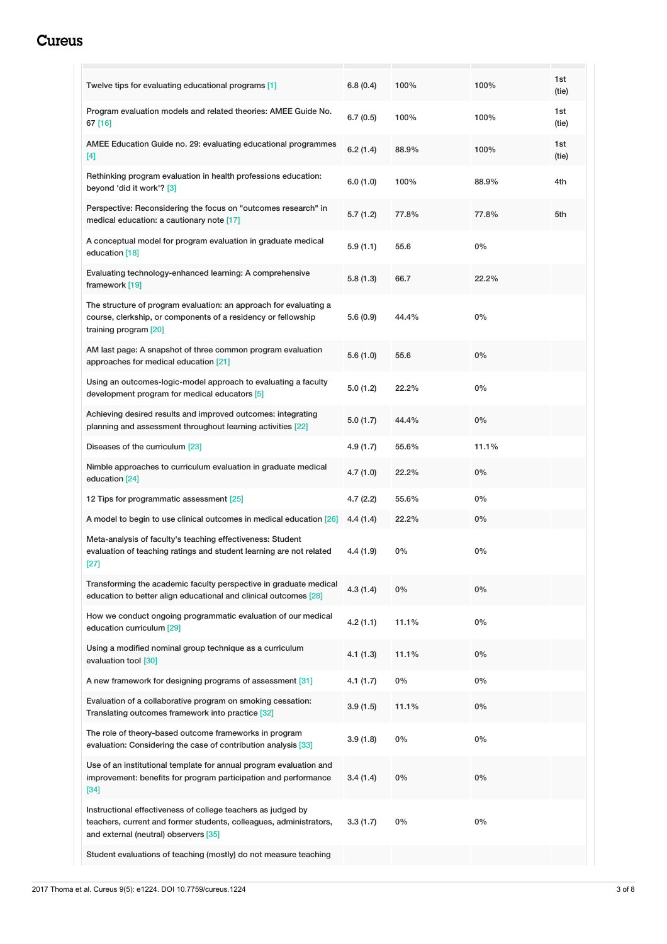# <span id="page-2-0"></span>**Cureus**

| Twelve tips for evaluating educational programs [1]                                                                                                                         | 6.8(0.4) | 100%  | 100%  | 1st<br>(tie) |
|-----------------------------------------------------------------------------------------------------------------------------------------------------------------------------|----------|-------|-------|--------------|
| Program evaluation models and related theories: AMEE Guide No.<br>67 [16]                                                                                                   | 6.7(0.5) | 100%  | 100%  | 1st<br>(tie) |
| AMEE Education Guide no. 29: evaluating educational programmes<br>[4]                                                                                                       | 6.2(1.4) | 88.9% | 100%  | 1st<br>(tie) |
| Rethinking program evaluation in health professions education:<br>beyond 'did it work'? [3]                                                                                 | 6.0(1.0) | 100%  | 88.9% | 4th          |
| Perspective: Reconsidering the focus on "outcomes research" in<br>medical education: a cautionary note [17]                                                                 | 5.7(1.2) | 77.8% | 77.8% | 5th          |
| A conceptual model for program evaluation in graduate medical<br>education [18]                                                                                             | 5.9(1.1) | 55.6  | 0%    |              |
| Evaluating technology-enhanced learning: A comprehensive<br>framework [19]                                                                                                  | 5.8(1.3) | 66.7  | 22.2% |              |
| The structure of program evaluation: an approach for evaluating a<br>course, clerkship, or components of a residency or fellowship<br>training program [20]                 | 5.6(0.9) | 44.4% | 0%    |              |
| AM last page: A snapshot of three common program evaluation<br>approaches for medical education [21]                                                                        | 5.6(1.0) | 55.6  | 0%    |              |
| Using an outcomes-logic-model approach to evaluating a faculty<br>development program for medical educators [5]                                                             | 5.0(1.2) | 22.2% | 0%    |              |
| Achieving desired results and improved outcomes: integrating<br>planning and assessment throughout learning activities [22]                                                 | 5.0(1.7) | 44.4% | 0%    |              |
| Diseases of the curriculum [23]                                                                                                                                             | 4.9(1.7) | 55.6% | 11.1% |              |
| Nimble approaches to curriculum evaluation in graduate medical<br>education [24]                                                                                            | 4.7(1.0) | 22.2% | 0%    |              |
| 12 Tips for programmatic assessment [25]                                                                                                                                    | 4.7(2.2) | 55.6% | 0%    |              |
| A model to begin to use clinical outcomes in medical education [26]                                                                                                         | 4.4(1.4) | 22.2% | 0%    |              |
| Meta-analysis of faculty's teaching effectiveness: Student<br>evaluation of teaching ratings and student learning are not related<br>$[27]$                                 | 4.4(1.9) | 0%    | 0%    |              |
| Transforming the academic faculty perspective in graduate medical<br>education to better align educational and clinical outcomes [28]                                       | 4.3(1.4) | 0%    | 0%    |              |
| How we conduct ongoing programmatic evaluation of our medical<br>education curriculum [29]                                                                                  | 4.2(1.1) | 11.1% | 0%    |              |
| Using a modified nominal group technique as a curriculum<br>evaluation tool [30]                                                                                            | 4.1(1.3) | 11.1% | 0%    |              |
| A new framework for designing programs of assessment [31]                                                                                                                   | 4.1(1.7) | 0%    | 0%    |              |
| Evaluation of a collaborative program on smoking cessation:<br>Translating outcomes framework into practice [32]                                                            | 3.9(1.5) | 11.1% | 0%    |              |
| The role of theory-based outcome frameworks in program<br>evaluation: Considering the case of contribution analysis [33]                                                    | 3.9(1.8) | 0%    | 0%    |              |
| Use of an institutional template for annual program evaluation and<br>improvement: benefits for program participation and performance<br>$[34]$                             | 3.4(1.4) | 0%    | 0%    |              |
| Instructional effectiveness of college teachers as judged by<br>teachers, current and former students, colleagues, administrators,<br>and external (neutral) observers [35] | 3.3(1.7) | 0%    | 0%    |              |
| Student evaluations of teaching (mostly) do not measure teaching                                                                                                            |          |       |       |              |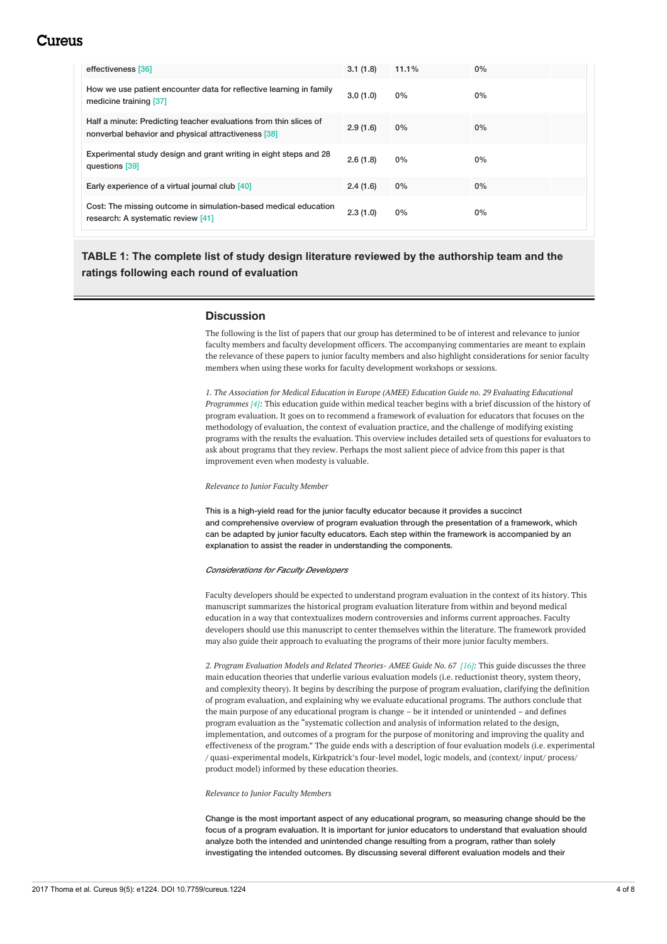# Cureus

| effectiveness [36]                                                                                                       | 3.1(1.8) | 11.1% | 0%    |  |
|--------------------------------------------------------------------------------------------------------------------------|----------|-------|-------|--|
| How we use patient encounter data for reflective learning in family<br>medicine training [37]                            | 3.0(1.0) | $0\%$ | $0\%$ |  |
| Half a minute: Predicting teacher evaluations from thin slices of<br>nonverbal behavior and physical attractiveness [38] | 2.9(1.6) | 0%    | $0\%$ |  |
| Experimental study design and grant writing in eight steps and 28<br>questions [39]                                      |          | $0\%$ | $0\%$ |  |
| Early experience of a virtual journal club [40]                                                                          | 2.4(1.6) | 0%    | $0\%$ |  |
| Cost: The missing outcome in simulation-based medical education<br>research: A systematic review [41]                    | 2.3(1.0) | $0\%$ | 0%    |  |

**TABLE 1: The complete list of study design literature reviewed by the authorship team and the ratings following each round of evaluation**

## **Discussion**

The following is the list of papers that our group has determined to be of interest and relevance to junior faculty members and faculty development officers. The accompanying commentaries are meant to explain the relevance of these papers to junior faculty members and also highlight considerations for senior faculty members when using these works for faculty development workshops or sessions.

*1. The Association for Medical Education in Europe (AMEE) Education Guide no. 29 Evaluating Educational Programmes [4]:* This education guide within medical teacher begins with a brief discussion of the history of program evaluation. It goes on to recommend a framework of evaluation for educators that focuses on the methodology of evaluation, the context of evaluation practice, and the challenge of modifying existing programs with the results the evaluation. This overview includes detailed sets of questions for evaluators to ask about programs that they review. Perhaps the most salient piece of advice from this paper is that improvement even when modesty is valuable.

#### *Relevance to Junior Faculty Member*

This is a high-yield read for the junior faculty educator because it provides a succinct and comprehensive overview of program evaluation through the presentation of a framework, which can be adapted by junior faculty educators. Each step within the framework is accompanied by an explanation to assist the reader in understanding the components.

#### *Considerations for Faculty Developers*

Faculty developers should be expected to understand program evaluation in the context of its history. This manuscript summarizes the historical program evaluation literature from within and beyond medical education in a way that contextualizes modern controversies and informs current approaches. Faculty developers should use this manuscript to center themselves within the literature. The framework provided may also guide their approach to evaluating the programs of their more junior faculty members.

*2. Program Evaluation Models and Related Theories- AMEE Guide No. 67 [16]:* This guide discusses the three main education theories that underlie various evaluation models (i.e. reductionist theory, system theory, and complexity theory). It begins by describing the purpose of program evaluation, clarifying the definition of program evaluation, and explaining why we evaluate educational programs. The authors conclude that the main purpose of any educational program is change – be it intended or unintended – and defines program evaluation as the "systematic collection and analysis of information related to the design, implementation, and outcomes of a program for the purpose of monitoring and improving the quality and effectiveness of the program." The guide ends with a description of four evaluation models (i.e. experimental / quasi-experimental models, Kirkpatrick's four-level model, logic models, and (context/ input/ process/ product model) informed by these education theories.

#### *Relevance to Junior Faculty Members*

Change is the most important aspect of any educational program, so measuring change should be the focus of a program evaluation. It is important for junior educators to understand that evaluation should analyze both the intended and unintended change resulting from a program, rather than solely investigating the intended outcomes. By discussing several different evaluation models and their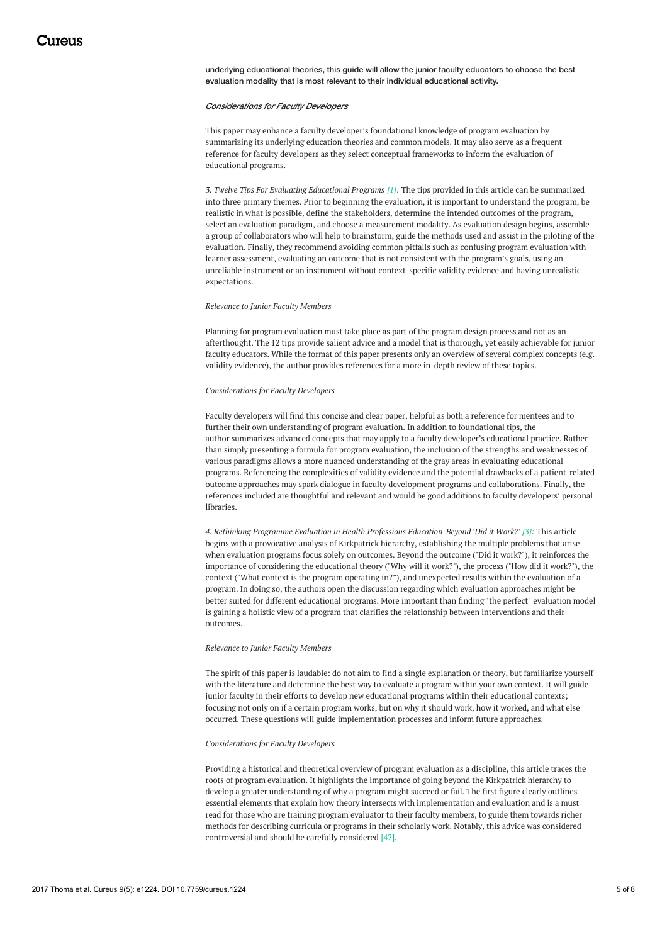underlying educational theories, this guide will allow the junior faculty educators to choose the best evaluation modality that is most relevant to their individual educational activity.

#### *Considerations for Faculty Developers*

This paper may enhance a faculty developer's foundational knowledge of program evaluation by summarizing its underlying education theories and common models. It may also serve as a frequent reference for faculty developers as they select conceptual frameworks to inform the evaluation of educational programs.

*3. Twelve Tips For Evaluating Educational Programs [1]:* The tips provided in this article can be summarized into three primary themes. Prior to beginning the evaluation, it is important to understand the program, be realistic in what is possible, define the stakeholders, determine the intended outcomes of the program, select an evaluation paradigm, and choose a measurement modality. As evaluation design begins, assemble a group of collaborators who will help to brainstorm, guide the methods used and assist in the piloting of the evaluation. Finally, they recommend avoiding common pitfalls such as confusing program evaluation with learner assessment, evaluating an outcome that is not consistent with the program's goals, using an unreliable instrument or an instrument without context-specific validity evidence and having unrealistic expectations.

#### *Relevance to Junior Faculty Members*

Planning for program evaluation must take place as part of the program design process and not as an afterthought. The 12 tips provide salient advice and a model that is thorough, yet easily achievable for junior faculty educators. While the format of this paper presents only an overview of several complex concepts (e.g. validity evidence), the author provides references for a more in-depth review of these topics.

#### *Considerations for Faculty Developers*

Faculty developers will find this concise and clear paper, helpful as both a reference for mentees and to further their own understanding of program evaluation. In addition to foundational tips, the author summarizes advanced concepts that may apply to a faculty developer's educational practice. Rather than simply presenting a formula for program evaluation, the inclusion of the strengths and weaknesses of various paradigms allows a more nuanced understanding of the gray areas in evaluating educational programs. Referencing the complexities of validity evidence and the potential drawbacks of a patient-related outcome approaches may spark dialogue in faculty development programs and collaborations. Finally, the references included are thoughtful and relevant and would be good additions to faculty developers' personal libraries.

*4. Rethinking Programme Evaluation in Health Professions Education-Beyond 'Did it Work?' [3]:* This article begins with a provocative analysis of Kirkpatrick hierarchy, establishing the multiple problems that arise when evaluation programs focus solely on outcomes. Beyond the outcome ("Did it work?"), it reinforces the importance of considering the educational theory ("Why will it work?"), the process ("How did it work?"), the context ("What context is the program operating in?"), and unexpected results within the evaluation of a program. In doing so, the authors open the discussion regarding which evaluation approaches might be better suited for different educational programs. More important than finding "the perfect" evaluation model is gaining a holistic view of a program that clarifies the relationship between interventions and their outcomes.

#### *Relevance to Junior Faculty Members*

The spirit of this paper is laudable: do not aim to find a single explanation or theory, but familiarize yourself with the literature and determine the best way to evaluate a program within your own context. It will guide junior faculty in their efforts to develop new educational programs within their educational contexts; focusing not only on if a certain program works, but on why it should work, how it worked, and what else occurred. These questions will guide implementation processes and inform future approaches.

#### *Considerations for Faculty Developers*

Providing a historical and theoretical overview of program evaluation as a discipline, this article traces the roots of program evaluation. It highlights the importance of going beyond the Kirkpatrick hierarchy to develop a greater understanding of why a program might succeed or fail. The first figure clearly outlines essential elements that explain how theory intersects with implementation and evaluation and is a must read for those who are training program evaluator to their faculty members, to guide them towards richer methods for describing curricula or programs in their scholarly work. Notably, this advice was considered controversial and should be carefully considered [42].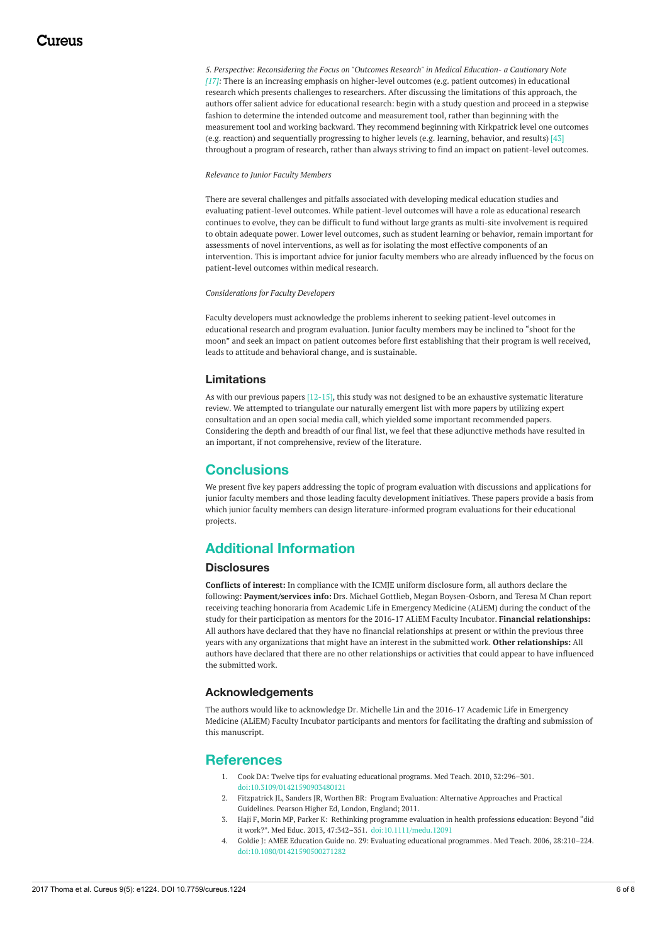*5. Perspective: Reconsidering the Focus on "Outcomes Research" in Medical Education- a Cautionary Note [17]:* There is an increasing emphasis on higher-level outcomes (e.g. patient outcomes) in educational research which presents challenges to researchers. After discussing the limitations of this approach, the authors offer salient advice for educational research: begin with a study question and proceed in a stepwise fashion to determine the intended outcome and measurement tool, rather than beginning with the measurement tool and working backward. They recommend beginning with Kirkpatrick level one outcomes (e.g. reaction) and sequentially progressing to higher levels (e.g. learning, behavior, and results) [43] throughout a program of research, rather than always striving to find an impact on patient-level outcomes.

#### *Relevance to Junior Faculty Members*

There are several challenges and pitfalls associated with developing medical education studies and evaluating patient-level outcomes. While patient-level outcomes will have a role as educational research continues to evolve, they can be difficult to fund without large grants as multi-site involvement is required to obtain adequate power. Lower level outcomes, such as student learning or behavior, remain important for assessments of novel interventions, as well as for isolating the most effective components of an intervention. This is important advice for junior faculty members who are already influenced by the focus on patient-level outcomes within medical research.

*Considerations for Faculty Developers*

Faculty developers must acknowledge the problems inherent to seeking patient-level outcomes in educational research and program evaluation. Junior faculty members may be inclined to "shoot for the moon" and seek an impact on patient outcomes before first establishing that their program is well received, leads to attitude and behavioral change, and is sustainable.

### **Limitations**

As with our previous papers [12-15], this study was not designed to be an exhaustive systematic literature review. We attempted to triangulate our naturally emergent list with more papers by utilizing expert consultation and an open social media call, which yielded some important recommended papers. Considering the depth and breadth of our final list, we feel that these adjunctive methods have resulted in an important, if not comprehensive, review of the literature.

## **Conclusions**

We present five key papers addressing the topic of program evaluation with discussions and applications for junior faculty members and those leading faculty development initiatives. These papers provide a basis from which junior faculty members can design literature-informed program evaluations for their educational projects.

# **Additional Information**

### **Disclosures**

**Conflicts of interest:** In compliance with the ICMJE uniform disclosure form, all authors declare the following: **Payment/services info:** Drs. Michael Gottlieb, Megan Boysen-Osborn, and Teresa M Chan report receiving teaching honoraria from Academic Life in Emergency Medicine (ALiEM) during the conduct of the study for their participation as mentors for the 2016-17 ALiEM Faculty Incubator. **Financial relationships:** All authors have declared that they have no financial relationships at present or within the previous three years with any organizations that might have an interest in the submitted work. **Other relationships:** All authors have declared that there are no other relationships or activities that could appear to have influenced the submitted work.

## **Acknowledgements**

The authors would like to acknowledge Dr. Michelle Lin and the 2016-17 Academic Life in Emergency Medicine (ALiEM) Faculty Incubator participants and mentors for facilitating the drafting and submission of this manuscript.

## **References**

- 1. Cook DA: Twelve tips for evaluating [educational](https://dx.doi.org/doi:10.3109/01421590903480121) programs. Med Teach. 2010, 32:296–301. [doi:10.3109/01421590903480121](https://dx.doi.org/doi:10.3109/01421590903480121)
- 2. Fitzpatrick JL, Sanders JR, Worthen BR: Program Evaluation: Alternative [Approaches](https://scholar.google.com/scholar?q=intitle:Program Evaluation%3A Alternative Approaches and Practical Guidelines) and Practical Guidelines. Pearson Higher Ed, London, England; 2011.
- 3. Haji F, Morin MP, Parker K: Rethinking programme evaluation in health professions education: Beyond "did it work?". Med Educ. 2013, 47:342–351. [doi:10.1111/medu.12091](https://dx.doi.org/doi:10.1111/medu.12091)
- 4. Goldie J: AMEE Education Guide no. 29: Evaluating educational [programmes](https://dx.doi.org/doi:10.1080/01421590500271282). Med Teach. 2006, 28:210–224. [doi:10.1080/01421590500271282](https://dx.doi.org/doi:10.1080/01421590500271282)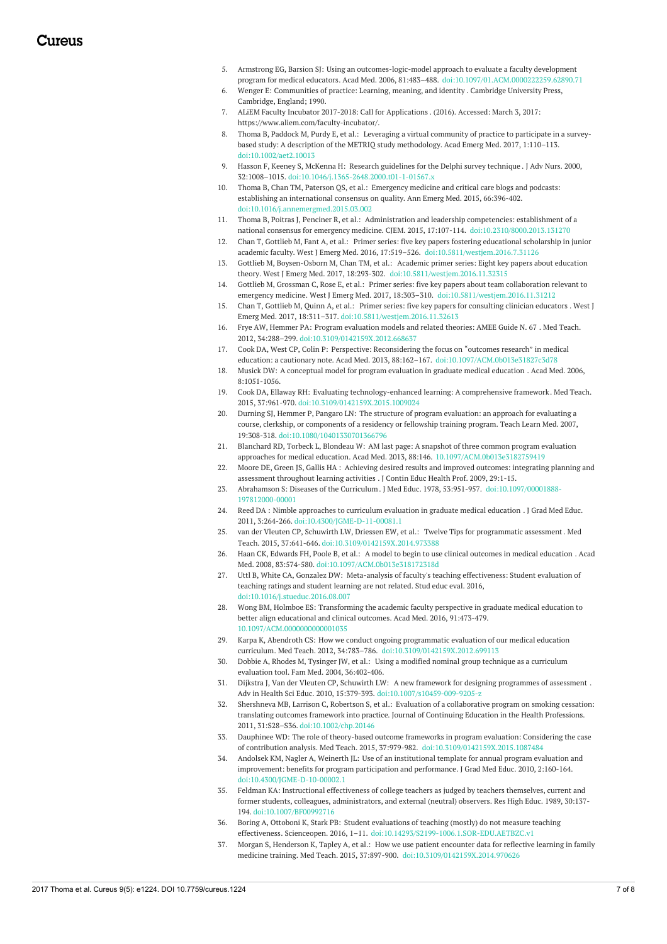- 5. Armstrong EG, Barsion SJ: Using an outcomes-logic-model approach to evaluate a faculty development program for medical educators. Acad Med. 2006, 81:483–488. [doi:10.1097/01.ACM.0000222259.62890.71](https://dx.doi.org/doi:10.1097/01.ACM.0000222259.62890.71)
- 6. Wenger E: [Communities](https://books.google.co.in/books?hl=en&lr=&id=heBZpgYUKdAC&oi=fnd&pg=PR11&dq=Communities+of+Practice:+Learning,+Meaning,+and+Identity&ots=ketd2s8v3k&sig=x7QlQ6-5H2vycG5apAr88TQIkBI&redir_esc=y#v=onepage&q=Communities of Practice%3A Learning%2C Meaning%2C and Identity&f=false) of practice: Learning, meaning, and identity . Cambridge University Press, Cambridge, England; 1990.
- 7. ALiEM Faculty Incubator 2017-2018: Call for [Applications](https://www.aliem.com/faculty-incubator/) . (2016). Accessed: March 3, 2017: <https://www.aliem.com/faculty-incubator/>.
- 8. Thoma B, Paddock M, Purdy E, et al.: Leveraging a virtual community of practice to participate in a surveybased study: A description of the METRIQ study [methodology.](https://dx.doi.org/doi:10.1002/aet2.10013) Acad Emerg Med. 2017, 1:110–113. [doi:10.1002/aet2.10013](https://dx.doi.org/doi:10.1002/aet2.10013)
- 9. Hasson F, Keeney S, McKenna H: Research [guidelines](https://dx.doi.org/doi:10.1046/j.1365-2648.2000.t01-1-01567.x) for the Delphi survey technique . J Adv Nurs. 2000, 32:1008–1015. [doi:10.1046/j.1365-2648.2000.t01-1-01567.x](https://dx.doi.org/doi:10.1046/j.1365-2648.2000.t01-1-01567.x)
- 10. Thoma B, Chan TM, Paterson QS, et al.: Emergency medicine and critical care blogs and podcasts: establishing an [international](https://dx.doi.org/doi:10.1016/j.annemergmed.2015.03.002) consensus on quality. Ann Emerg Med. 2015, 66:396-402. [doi:10.1016/j.annemergmed.2015.03.002](https://dx.doi.org/doi:10.1016/j.annemergmed.2015.03.002)
- 11. Thoma B, Poitras J, Penciner R, et al.: Administration and leadership competencies: establishment of a national consensus for emergency medicine. CJEM. 2015, 17:107-114. [doi:10.2310/8000.2013.131270](https://dx.doi.org/doi:10.2310/8000.2013.131270)
- 12. Chan T, Gottlieb M, Fant A, et al.: Primer series: five key papers fostering educational scholarship in junior academic faculty. West J Emerg Med. 2016, 17:519–526. [doi:10.5811/westjem.2016.7.31126](https://dx.doi.org/doi:10.5811/westjem.2016.7.31126)
- 13. Gottlieb M, Boysen-Osborn M, Chan TM, et al.: Academic primer series: Eight key papers about education theory. West J Emerg Med. 2017, 18:293-302. [doi:10.5811/westjem.2016.11.32315](https://dx.doi.org/doi:10.5811/westjem.2016.11.32315)
- 14. Gottlieb M, Grossman C, Rose E, et al.: Primer series: five key papers about team collaboration relevant to emergency medicine. West J Emerg Med. 2017, 18:303–310. [doi:10.5811/westjem.2016.11.31212](https://dx.doi.org/doi:10.5811/westjem.2016.11.31212)
- 15. Chan T, Gottlieb M, Quinn A, et al.: Primer series: five key papers for [consulting](https://dx.doi.org/doi:10.5811/westjem.2016.11.32613) clinician educators . West J Emerg Med. 2017, 18:311–317. [doi:10.5811/westjem.2016.11.32613](https://dx.doi.org/doi:10.5811/westjem.2016.11.32613)
- 16. Frye AW, Hemmer PA: Program [evaluation](https://dx.doi.org/doi:10.3109/0142159X.2012.668637) models and related theories: AMEE Guide N. 67 . Med Teach. 2012, 34:288–299. [doi:10.3109/0142159X.2012.668637](https://dx.doi.org/doi:10.3109/0142159X.2012.668637)
- 17. Cook DA, West CP, Colin P: Perspective: Reconsidering the focus on "outcomes research" in medical education: a cautionary note. Acad Med. 2013, 88:162–167. [doi:10.1097/ACM.0b013e31827c3d78](https://dx.doi.org/doi:10.1097/ACM.0b013e31827c3d78)
- 18. Musick DW: A [conceptual](https://www.ncbi.nlm.nih.gov/pubmed/?term=A+conceptual+model+for+program+evaluation+in+graduate+medical+education%2BMusick+DW) model for program evaluation in graduate medical education . Acad Med. 2006, 8:1051-1056.
- 19. Cook DA, Ellaway RH: Evaluating [technology-enhanced](https://dx.doi.org/doi:10.3109/0142159X.2015.1009024) learning: A comprehensive framework. Med Teach. 2015, 37:961-970. [doi:10.3109/0142159X.2015.1009024](https://dx.doi.org/doi:10.3109/0142159X.2015.1009024)
- 20. Durning SJ, Hemmer P, Pangaro LN: The structure of program evaluation: an approach for evaluating a course, clerkship, or [components](https://dx.doi.org/doi:10.1080/10401330701366796) of a residency or fellowship training program. Teach Learn Med. 2007, 19:308-318. [doi:10.1080/10401330701366796](https://dx.doi.org/doi:10.1080/10401330701366796)
- 21. Blanchard RD, Torbeck L, Blondeau W: AM last page: A snapshot of three common program evaluation approaches for medical education. Acad Med. 2013, 88:146. [10.1097/ACM.0b013e3182759419](https://dx.doi.org/10.1097/ACM.0b013e3182759419)
- 22. Moore DE, Green JS, Gallis HA : Achieving desired results and improved outcomes: [integrating](https://www.ncbi.nlm.nih.gov/pubmed/?term=Achieving+desired+results+and+improved+outcomes%3A+integrating+planning+and+assessment+throughout+learning+activities) planning and assessment throughout learning activities . J Contin Educ Health Prof. 2009, 29:1-15.
- 23. Abrahamson S: Diseases of the [Curriculum](https://dx.doi.org/doi:10.1097/00001888-197812000-00001). J Med Educ. 1978, 53:951-957. [doi:10.1097/00001888-](https://dx.doi.org/doi:10.1097/00001888-197812000-00001) 197812000-00001
- 24. Reed DA : Nimble [approaches](https://dx.doi.org/doi:10.4300/JGME-D-11-00081.1) to curriculum evaluation in graduate medical education . J Grad Med Educ. 2011, 3:264-266. [doi:10.4300/JGME-D-11-00081.1](https://dx.doi.org/doi:10.4300/JGME-D-11-00081.1)
- 25. van der Vleuten CP, Schuwirth LW, Driessen EW, et al.: Twelve Tips for [programmatic](https://dx.doi.org/doi:10.3109/0142159X.2014.973388) assessment. Med Teach. 2015, 37:641-646. [doi:10.3109/0142159X.2014.973388](https://dx.doi.org/doi:10.3109/0142159X.2014.973388)
- 26. Haan CK, Edwards FH, Poole B, et al.: A model to begin to use clinical outcomes in medical [education](https://dx.doi.org/doi:10.1097/ACM.0b013e318172318d) . Acad Med. 2008, 83:574-580. [doi:10.1097/ACM.0b013e318172318d](https://dx.doi.org/doi:10.1097/ACM.0b013e318172318d)
- 27. Uttl B, White CA, Gonzalez DW: [Meta-analysis](https://dx.doi.org/doi:10.1016/j.stueduc.2016.08.007) of faculty's teaching effectiveness: Student evaluation of teaching ratings and student learning are not related. Stud educ eval. 2016, [doi:10.1016/j.stueduc.2016.08.007](https://dx.doi.org/doi:10.1016/j.stueduc.2016.08.007)
- 28. Wong BM, Holmboe ES: [Transforming](https://dx.doi.org/10.1097/ACM.0000000000001035) the academic faculty perspective in graduate medical education to better align educational and clinical outcomes. Acad Med. 2016, 91:473-479. [10.1097/ACM.0000000000001035](https://dx.doi.org/10.1097/ACM.0000000000001035)
- 29. Karpa K, Abendroth CS: How we conduct ongoing programmatic evaluation of our medical education curriculum. Med Teach. 2012, 34:783–786. [doi:10.3109/0142159X.2012.699113](https://dx.doi.org/doi:10.3109/0142159X.2012.699113)
- 30. Dobbie A, Rhodes M, Tysinger JW, et al.: Using a modified nominal group technique as a curriculum evaluation tool. Fam Med. 2004, [36:402-406.](http://www.stfm.org/FamilyMedicine/Vol36Issue6/Dobbie402)
- 31. Dijkstra J, Van der Vleuten CP, Schuwirth LW: A new framework for designing [programmes](https://dx.doi.org/doi:10.1007/s10459-009-9205-z) of assessment . Adv in Health Sci Educ. 2010, 15:379-393. [doi:10.1007/s10459-009-9205-z](https://dx.doi.org/doi:10.1007/s10459-009-9205-z)
- 32. Shershneva MB, Larrison C, Robertson S, et al.: Evaluation of a [collaborative](https://dx.doi.org/doi:10.1002/chp.20146) program on smoking cessation: translating outcomes framework into practice. Journal of Continuing Education in the Health Professions. 2011, 31:S28–S36. [doi:10.1002/chp.20146](https://dx.doi.org/doi:10.1002/chp.20146)
- 33. Dauphinee WD: The role of theory-based outcome frameworks in program evaluation: Considering the case of contribution analysis. Med Teach. 2015, 37:979-982. [doi:10.3109/0142159X.2015.1087484](https://dx.doi.org/doi:10.3109/0142159X.2015.1087484)
- 34. Andolsek KM, Nagler A, Weinerth JL: Use of an institutional template for annual program evaluation and [improvement:](https://dx.doi.org/doi:10.4300/JGME-D-10-00002.1) benefits for program participation and performance. J Grad Med Educ. 2010, 2:160-164. [doi:10.4300/JGME-D-10-00002.1](https://dx.doi.org/doi:10.4300/JGME-D-10-00002.1)
- 35. Feldman KA: Instructional effectiveness of college teachers as judged by teachers themselves, current and former students, colleagues, [administrators,](https://dx.doi.org/doi:10.1007/BF00992716) and external (neutral) observers. Res High Educ. 1989, 30:137- 194. [doi:10.1007/BF00992716](https://dx.doi.org/doi:10.1007/BF00992716)
- 36. Boring A, Ottoboni K, Stark PB: Student evaluations of teaching (mostly) do not measure teaching effectiveness. Scienceopen. 2016, 1–11. [doi:10.14293/S2199-1006.1.SOR-EDU.AETBZC.v1](https://dx.doi.org/doi:10.14293/S2199-1006.1.SOR-EDU.AETBZC.v1)
- 37. Morgan S, Henderson K, Tapley A, et al.: How we use patient encounter data for reflective learning in family medicine training. Med Teach. 2015, 37:897-900. [doi:10.3109/0142159X.2014.970626](https://dx.doi.org/doi:10.3109/0142159X.2014.970626)